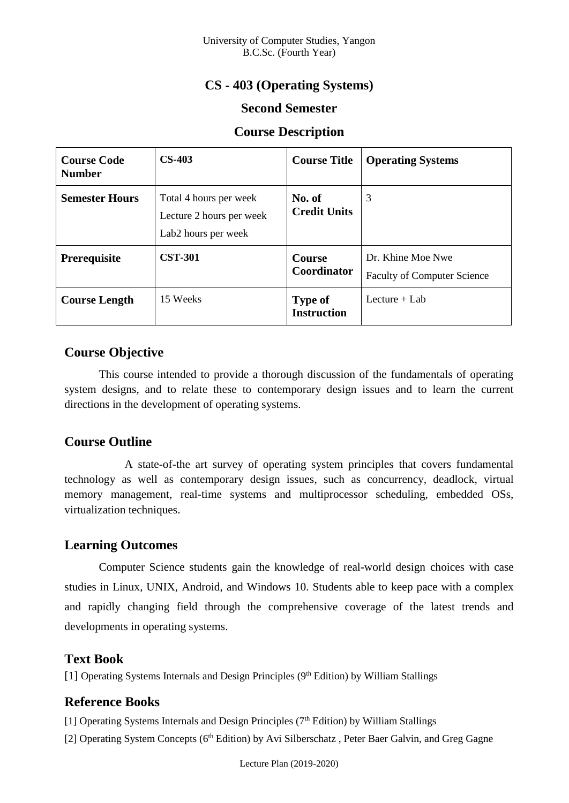# **CS - 403 (Operating Systems)**

## **Second Semester**

#### **Course Description**

| <b>Course Code</b><br><b>Number</b> | $CS-403$                                                                              | <b>Course Title</b>                  | <b>Operating Systems</b>                                |
|-------------------------------------|---------------------------------------------------------------------------------------|--------------------------------------|---------------------------------------------------------|
| <b>Semester Hours</b>               | Total 4 hours per week<br>Lecture 2 hours per week<br>Lab <sub>2</sub> hours per week | No. of<br><b>Credit Units</b>        | 3                                                       |
| <b>Prerequisite</b>                 | <b>CST-301</b>                                                                        | <b>Course</b><br><b>Coordinator</b>  | Dr. Khine Moe Nwe<br><b>Faculty of Computer Science</b> |
| <b>Course Length</b>                | 15 Weeks                                                                              | <b>Type of</b><br><b>Instruction</b> | Lecture $+$ Lab                                         |

## **Course Objective**

This course intended to provide a thorough discussion of the fundamentals of operating system designs, and to relate these to contemporary design issues and to learn the current directions in the development of operating systems.

### **Course Outline**

A state-of-the art survey of operating system principles that covers fundamental technology as well as contemporary design issues, such as concurrency, deadlock, virtual memory management, real-time systems and multiprocessor scheduling, embedded OSs, virtualization techniques.

### **Learning Outcomes**

Computer Science students gain the knowledge of real-world design choices with case studies in Linux, UNIX, Android, and Windows 10. Students able to keep pace with a complex and rapidly changing field through the comprehensive coverage of the latest trends and developments in operating systems.

### **Text Book**

[1] Operating Systems Internals and Design Principles (9th Edition) by William Stallings

### **Reference Books**

[1] Operating Systems Internals and Design Principles  $(7<sup>th</sup> Edition)$  by William Stallings

[2] Operating System Concepts (6<sup>th</sup> Edition) by Avi Silberschatz, Peter Baer Galvin, and Greg Gagne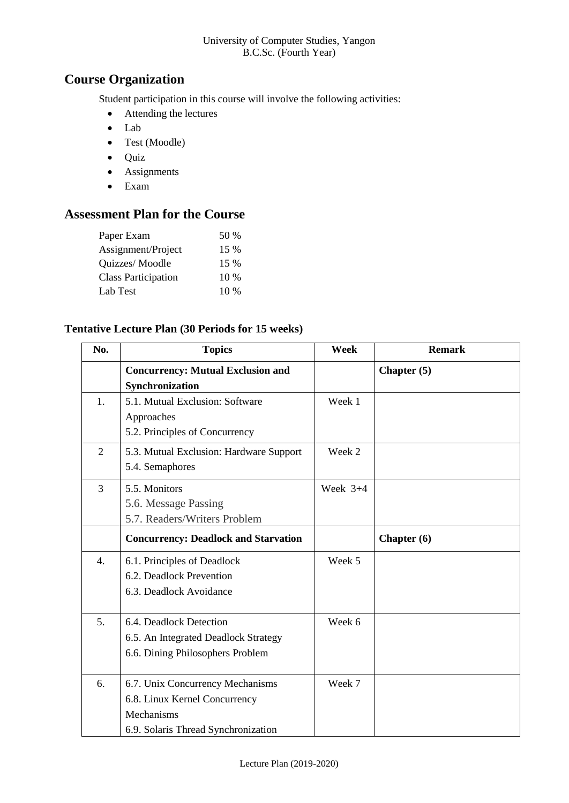## **Course Organization**

Student participation in this course will involve the following activities:

- Attending the lectures
- Lab
- Test (Moodle)
- Quiz
- Assignments
- Exam

# **Assessment Plan for the Course**

| Paper Exam                 | 50 %   |
|----------------------------|--------|
| Assignment/Project         | 15 %   |
| Quizzes/Moodle             | 15 %   |
| <b>Class Participation</b> | $10\%$ |
| Lab Test                   | $10\%$ |

#### **Tentative Lecture Plan (30 Periods for 15 weeks)**

| No.              | <b>Topics</b>                               | Week       | <b>Remark</b> |
|------------------|---------------------------------------------|------------|---------------|
|                  | <b>Concurrency: Mutual Exclusion and</b>    |            | Chapter $(5)$ |
|                  | Synchronization                             |            |               |
| 1.               | 5.1. Mutual Exclusion: Software             | Week 1     |               |
|                  | Approaches                                  |            |               |
|                  | 5.2. Principles of Concurrency              |            |               |
| $\overline{2}$   | 5.3. Mutual Exclusion: Hardware Support     | Week 2     |               |
|                  | 5.4. Semaphores                             |            |               |
| 3                | 5.5. Monitors                               | Week $3+4$ |               |
|                  | 5.6. Message Passing                        |            |               |
|                  | 5.7. Readers/Writers Problem                |            |               |
|                  | <b>Concurrency: Deadlock and Starvation</b> |            | Chapter (6)   |
| $\overline{4}$ . | 6.1. Principles of Deadlock                 | Week 5     |               |
|                  | 6.2. Deadlock Prevention                    |            |               |
|                  | 6.3. Deadlock Avoidance                     |            |               |
|                  |                                             |            |               |
| 5 <sub>1</sub>   | 6.4. Deadlock Detection                     | Week 6     |               |
|                  | 6.5. An Integrated Deadlock Strategy        |            |               |
|                  | 6.6. Dining Philosophers Problem            |            |               |
|                  |                                             |            |               |
| 6.               | 6.7. Unix Concurrency Mechanisms            | Week 7     |               |
|                  | 6.8. Linux Kernel Concurrency               |            |               |
|                  | Mechanisms                                  |            |               |
|                  | 6.9. Solaris Thread Synchronization         |            |               |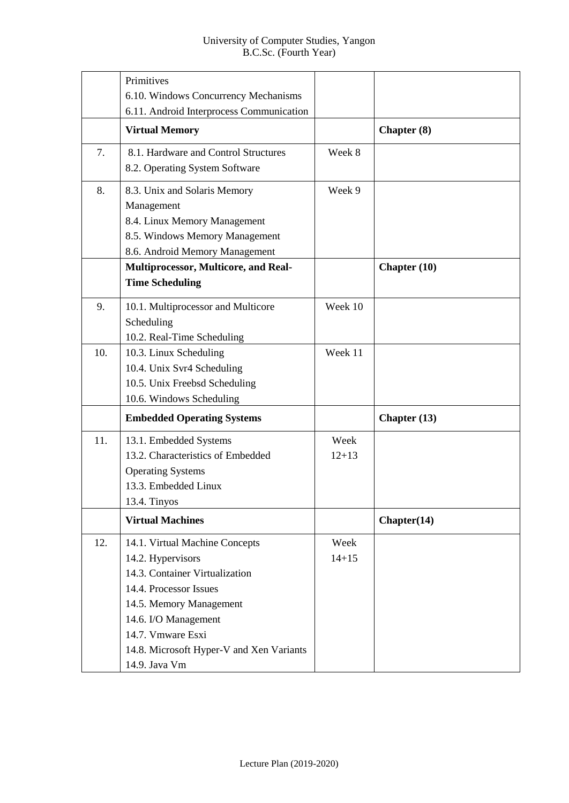|     | Primitives                                                                                                                                                                                                                                           |                   |                |
|-----|------------------------------------------------------------------------------------------------------------------------------------------------------------------------------------------------------------------------------------------------------|-------------------|----------------|
|     | 6.10. Windows Concurrency Mechanisms<br>6.11. Android Interprocess Communication                                                                                                                                                                     |                   |                |
|     | <b>Virtual Memory</b>                                                                                                                                                                                                                                |                   | Chapter (8)    |
| 7.  | 8.1. Hardware and Control Structures<br>8.2. Operating System Software                                                                                                                                                                               | Week 8            |                |
| 8.  | 8.3. Unix and Solaris Memory<br>Management<br>8.4. Linux Memory Management<br>8.5. Windows Memory Management<br>8.6. Android Memory Management                                                                                                       | Week 9            |                |
|     | Multiprocessor, Multicore, and Real-<br><b>Time Scheduling</b>                                                                                                                                                                                       |                   | Chapter $(10)$ |
| 9.  | 10.1. Multiprocessor and Multicore<br>Scheduling<br>10.2. Real-Time Scheduling                                                                                                                                                                       | Week 10           |                |
| 10. | 10.3. Linux Scheduling<br>10.4. Unix Svr4 Scheduling<br>10.5. Unix Freebsd Scheduling<br>10.6. Windows Scheduling                                                                                                                                    | Week 11           |                |
|     | <b>Embedded Operating Systems</b>                                                                                                                                                                                                                    |                   | Chapter $(13)$ |
| 11. | 13.1. Embedded Systems<br>13.2. Characteristics of Embedded<br><b>Operating Systems</b><br>13.3. Embedded Linux<br>13.4. Tinyos                                                                                                                      | Week<br>$12 + 13$ |                |
|     | <b>Virtual Machines</b>                                                                                                                                                                                                                              |                   | Chapter(14)    |
| 12. | 14.1. Virtual Machine Concepts<br>14.2. Hypervisors<br>14.3. Container Virtualization<br>14.4. Processor Issues<br>14.5. Memory Management<br>14.6. I/O Management<br>14.7. Vmware Esxi<br>14.8. Microsoft Hyper-V and Xen Variants<br>14.9. Java Vm | Week<br>$14 + 15$ |                |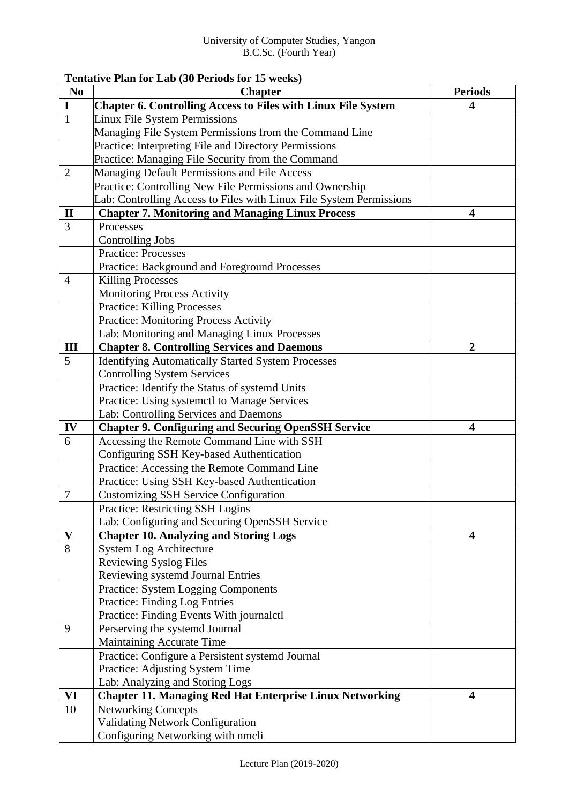#### **Tentative Plan for Lab (30 Periods for 15 weeks)**

| N <sub>0</sub> | <b>Chapter</b>                                                       | <b>Periods</b>          |
|----------------|----------------------------------------------------------------------|-------------------------|
| $\mathbf I$    | <b>Chapter 6. Controlling Access to Files with Linux File System</b> | 4                       |
| $\mathbf{1}$   | Linux File System Permissions                                        |                         |
|                | Managing File System Permissions from the Command Line               |                         |
|                | Practice: Interpreting File and Directory Permissions                |                         |
|                | Practice: Managing File Security from the Command                    |                         |
| $\mathbf{2}$   | Managing Default Permissions and File Access                         |                         |
|                | Practice: Controlling New File Permissions and Ownership             |                         |
|                | Lab: Controlling Access to Files with Linux File System Permissions  |                         |
| $\mathbf{I}$   | <b>Chapter 7. Monitoring and Managing Linux Process</b>              | $\overline{\mathbf{4}}$ |
| 3              | Processes                                                            |                         |
|                | <b>Controlling Jobs</b>                                              |                         |
|                | <b>Practice: Processes</b>                                           |                         |
|                | Practice: Background and Foreground Processes                        |                         |
| $\overline{4}$ | <b>Killing Processes</b>                                             |                         |
|                | Monitoring Process Activity                                          |                         |
|                | <b>Practice: Killing Processes</b>                                   |                         |
|                | Practice: Monitoring Process Activity                                |                         |
|                | Lab: Monitoring and Managing Linux Processes                         |                         |
| III            | <b>Chapter 8. Controlling Services and Daemons</b>                   | $\boldsymbol{2}$        |
| 5              | <b>Identifying Automatically Started System Processes</b>            |                         |
|                | <b>Controlling System Services</b>                                   |                         |
|                | Practice: Identify the Status of systemd Units                       |                         |
|                | Practice: Using systemctl to Manage Services                         |                         |
|                | Lab: Controlling Services and Daemons                                |                         |
| IV             | <b>Chapter 9. Configuring and Securing OpenSSH Service</b>           | $\overline{\mathbf{4}}$ |
| 6              | Accessing the Remote Command Line with SSH                           |                         |
|                | Configuring SSH Key-based Authentication                             |                         |
|                | Practice: Accessing the Remote Command Line                          |                         |
|                | Practice: Using SSH Key-based Authentication                         |                         |
| $\tau$         | <b>Customizing SSH Service Configuration</b>                         |                         |
|                | Practice: Restricting SSH Logins                                     |                         |
|                | Lab: Configuring and Securing OpenSSH Service                        |                         |
| V              | <b>Chapter 10. Analyzing and Storing Logs</b>                        | 4                       |
| 8              | <b>System Log Architecture</b>                                       |                         |
|                | <b>Reviewing Syslog Files</b>                                        |                         |
|                | Reviewing systemd Journal Entries                                    |                         |
|                | <b>Practice: System Logging Components</b>                           |                         |
|                | <b>Practice: Finding Log Entries</b>                                 |                         |
|                | Practice: Finding Events With journalctl                             |                         |
| 9              | Perserving the systemd Journal                                       |                         |
|                | Maintaining Accurate Time                                            |                         |
|                | Practice: Configure a Persistent systemd Journal                     |                         |
|                | Practice: Adjusting System Time                                      |                         |
|                | Lab: Analyzing and Storing Logs                                      |                         |
| VI             | <b>Chapter 11. Managing Red Hat Enterprise Linux Networking</b>      | 4                       |
| 10             | <b>Networking Concepts</b>                                           |                         |
|                | <b>Validating Network Configuration</b>                              |                         |
|                | Configuring Networking with nmcli                                    |                         |